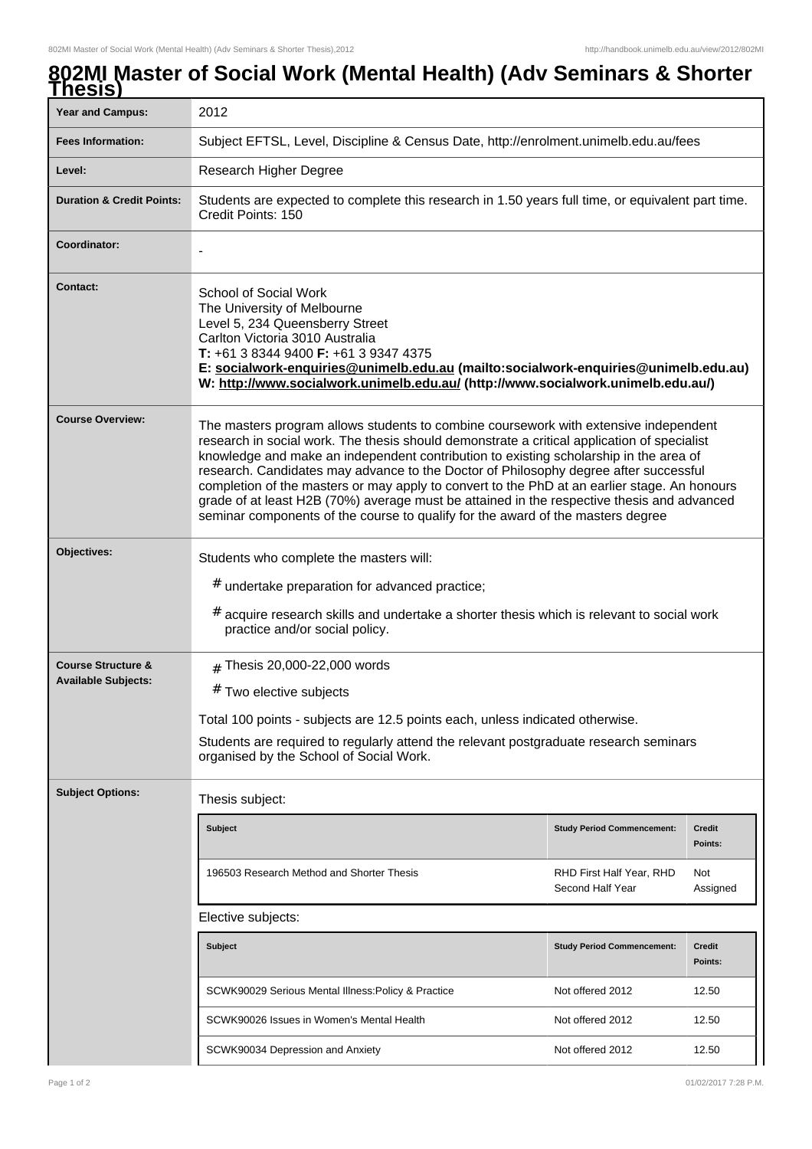## **802MI Master of Social Work (Mental Health) (Adv Seminars & Shorter Thesis)**

| <b>Year and Campus:</b>                                     | 2012                                                                                                                                                                                                                                                                                                                                                                                                                                                                                                                                                                                                                                                  |                                              |                          |  |  |
|-------------------------------------------------------------|-------------------------------------------------------------------------------------------------------------------------------------------------------------------------------------------------------------------------------------------------------------------------------------------------------------------------------------------------------------------------------------------------------------------------------------------------------------------------------------------------------------------------------------------------------------------------------------------------------------------------------------------------------|----------------------------------------------|--------------------------|--|--|
| <b>Fees Information:</b>                                    | Subject EFTSL, Level, Discipline & Census Date, http://enrolment.unimelb.edu.au/fees                                                                                                                                                                                                                                                                                                                                                                                                                                                                                                                                                                  |                                              |                          |  |  |
| Level:                                                      | Research Higher Degree                                                                                                                                                                                                                                                                                                                                                                                                                                                                                                                                                                                                                                |                                              |                          |  |  |
| <b>Duration &amp; Credit Points:</b>                        | Students are expected to complete this research in 1.50 years full time, or equivalent part time.<br>Credit Points: 150                                                                                                                                                                                                                                                                                                                                                                                                                                                                                                                               |                                              |                          |  |  |
| Coordinator:                                                |                                                                                                                                                                                                                                                                                                                                                                                                                                                                                                                                                                                                                                                       |                                              |                          |  |  |
| <b>Contact:</b>                                             | School of Social Work<br>The University of Melbourne<br>Level 5, 234 Queensberry Street<br>Carlton Victoria 3010 Australia<br>T: +61 3 8344 9400 F: +61 3 9347 4375<br>E: socialwork-enquiries@unimelb.edu.au (mailto:socialwork-enquiries@unimelb.edu.au)<br>W: http://www.socialwork.unimelb.edu.au/ (http://www.socialwork.unimelb.edu.au/)                                                                                                                                                                                                                                                                                                        |                                              |                          |  |  |
| <b>Course Overview:</b>                                     | The masters program allows students to combine coursework with extensive independent<br>research in social work. The thesis should demonstrate a critical application of specialist<br>knowledge and make an independent contribution to existing scholarship in the area of<br>research. Candidates may advance to the Doctor of Philosophy degree after successful<br>completion of the masters or may apply to convert to the PhD at an earlier stage. An honours<br>grade of at least H2B (70%) average must be attained in the respective thesis and advanced<br>seminar components of the course to qualify for the award of the masters degree |                                              |                          |  |  |
| Objectives:                                                 | Students who complete the masters will:<br># undertake preparation for advanced practice;<br>$#$ acquire research skills and undertake a shorter thesis which is relevant to social work<br>practice and/or social policy.                                                                                                                                                                                                                                                                                                                                                                                                                            |                                              |                          |  |  |
| <b>Course Structure &amp;</b><br><b>Available Subjects:</b> | $#$ Thesis 20,000-22,000 words<br># Two elective subjects<br>Total 100 points - subjects are 12.5 points each, unless indicated otherwise.<br>Students are required to regularly attend the relevant postgraduate research seminars<br>organised by the School of Social Work.                                                                                                                                                                                                                                                                                                                                                                        |                                              |                          |  |  |
| <b>Subject Options:</b>                                     | Thesis subject:                                                                                                                                                                                                                                                                                                                                                                                                                                                                                                                                                                                                                                       |                                              |                          |  |  |
|                                                             | <b>Subject</b>                                                                                                                                                                                                                                                                                                                                                                                                                                                                                                                                                                                                                                        | <b>Study Period Commencement:</b>            | <b>Credit</b><br>Points: |  |  |
|                                                             | 196503 Research Method and Shorter Thesis                                                                                                                                                                                                                                                                                                                                                                                                                                                                                                                                                                                                             | RHD First Half Year, RHD<br>Second Half Year | Not<br>Assigned          |  |  |
|                                                             | Elective subjects:                                                                                                                                                                                                                                                                                                                                                                                                                                                                                                                                                                                                                                    |                                              |                          |  |  |
|                                                             | <b>Subject</b>                                                                                                                                                                                                                                                                                                                                                                                                                                                                                                                                                                                                                                        | <b>Study Period Commencement:</b>            | <b>Credit</b><br>Points: |  |  |
|                                                             | SCWK90029 Serious Mental Illness: Policy & Practice                                                                                                                                                                                                                                                                                                                                                                                                                                                                                                                                                                                                   | Not offered 2012                             | 12.50                    |  |  |
|                                                             | SCWK90026 Issues in Women's Mental Health                                                                                                                                                                                                                                                                                                                                                                                                                                                                                                                                                                                                             | Not offered 2012                             | 12.50                    |  |  |
|                                                             | SCWK90034 Depression and Anxiety                                                                                                                                                                                                                                                                                                                                                                                                                                                                                                                                                                                                                      | Not offered 2012                             | 12.50                    |  |  |